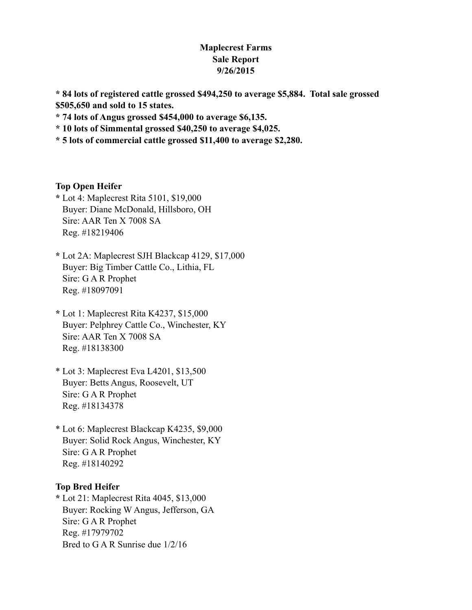## **Maplecrest Farms Sale Report 9/26/2015**

**\* 84 lots of registered cattle grossed \$494,250 to average \$5,884. Total sale grossed \$505,650 and sold to 15 states.**

**\* 74 lots of Angus grossed \$454,000 to average \$6,135.**

**\* 10 lots of Simmental grossed \$40,250 to average \$4,025.**

**\* 5 lots of commercial cattle grossed \$11,400 to average \$2,280.**

### **Top Open Heifer**

- **\*** Lot 4: Maplecrest Rita 5101, \$19,000 Buyer: Diane McDonald, Hillsboro, OH Sire: AAR Ten X 7008 SA Reg. #18219406
- **\*** Lot 2A: Maplecrest SJH Blackcap 4129, \$17,000 Buyer: Big Timber Cattle Co., Lithia, FL Sire: G A R Prophet Reg. #18097091
- **\*** Lot 1: Maplecrest Rita K4237, \$15,000 Buyer: Pelphrey Cattle Co., Winchester, KY Sire: AAR Ten X 7008 SA Reg. #18138300
- \* Lot 3: Maplecrest Eva L4201, \$13,500 Buyer: Betts Angus, Roosevelt, UT Sire: G A R Prophet Reg. #18134378
- \* Lot 6: Maplecrest Blackcap K4235, \$9,000 Buyer: Solid Rock Angus, Winchester, KY Sire: G A R Prophet Reg. #18140292

## **Top Bred Heifer**

**\*** Lot 21: Maplecrest Rita 4045, \$13,000 Buyer: Rocking W Angus, Jefferson, GA Sire: G A R Prophet Reg. #17979702 Bred to G A R Sunrise due 1/2/16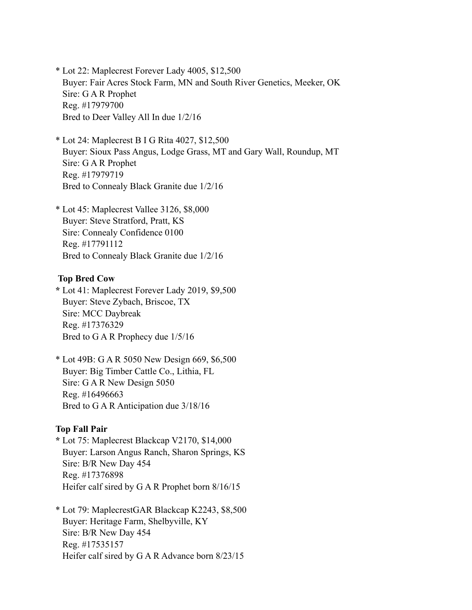\* Lot 22: Maplecrest Forever Lady 4005, \$12,500 Buyer: Fair Acres Stock Farm, MN and South River Genetics, Meeker, OK Sire: G A R Prophet Reg. #17979700 Bred to Deer Valley All In due 1/2/16

\* Lot 24: Maplecrest B I G Rita 4027, \$12,500 Buyer: Sioux Pass Angus, Lodge Grass, MT and Gary Wall, Roundup, MT Sire: G A R Prophet Reg. #17979719 Bred to Connealy Black Granite due 1/2/16

\* Lot 45: Maplecrest Vallee 3126, \$8,000 Buyer: Steve Stratford, Pratt, KS Sire: Connealy Confidence 0100 Reg. #17791112 Bred to Connealy Black Granite due 1/2/16

#### **Top Bred Cow**

**\*** Lot 41: Maplecrest Forever Lady 2019, \$9,500 Buyer: Steve Zybach, Briscoe, TX Sire: MCC Daybreak Reg. #17376329 Bred to G A R Prophecy due 1/5/16

\* Lot 49B: G A R 5050 New Design 669, \$6,500 Buyer: Big Timber Cattle Co., Lithia, FL Sire: G A R New Design 5050 Reg. #16496663 Bred to G A R Anticipation due 3/18/16

### **Top Fall Pair**

**\*** Lot 75: Maplecrest Blackcap V2170, \$14,000 Buyer: Larson Angus Ranch, Sharon Springs, KS Sire: B/R New Day 454 Reg. #17376898 Heifer calf sired by G A R Prophet born 8/16/15

\* Lot 79: MaplecrestGAR Blackcap K2243, \$8,500 Buyer: Heritage Farm, Shelbyville, KY Sire: B/R New Day 454 Reg. #17535157 Heifer calf sired by G A R Advance born 8/23/15